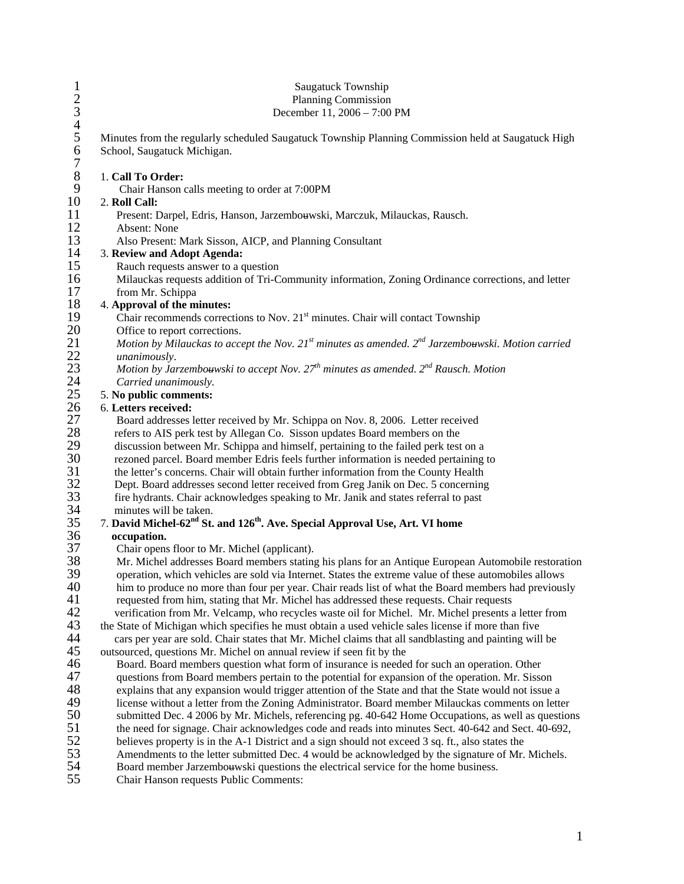| $\mathbf{1}$                          | Saugatuck Township<br><b>Planning Commission</b>                                                                                                                                                           |
|---------------------------------------|------------------------------------------------------------------------------------------------------------------------------------------------------------------------------------------------------------|
|                                       | December 11, 2006 - 7:00 PM                                                                                                                                                                                |
| $\frac{2}{3}$<br>4 5<br>$\frac{6}{7}$ | Minutes from the regularly scheduled Saugatuck Township Planning Commission held at Saugatuck High<br>School, Saugatuck Michigan.                                                                          |
| $\,8\,$                               | 1. Call To Order:                                                                                                                                                                                          |
| 9                                     | Chair Hanson calls meeting to order at 7:00PM                                                                                                                                                              |
| 10                                    | 2. Roll Call:                                                                                                                                                                                              |
| 11                                    | Present: Darpel, Edris, Hanson, Jarzembouwski, Marczuk, Milauckas, Rausch.                                                                                                                                 |
| 12                                    | Absent: None                                                                                                                                                                                               |
| 13                                    | Also Present: Mark Sisson, AICP, and Planning Consultant                                                                                                                                                   |
| 14                                    | 3. Review and Adopt Agenda:                                                                                                                                                                                |
| 15                                    | Rauch requests answer to a question                                                                                                                                                                        |
| 16<br>17                              | Milauckas requests addition of Tri-Community information, Zoning Ordinance corrections, and letter<br>from Mr. Schippa                                                                                     |
| 18                                    | 4. Approval of the minutes:                                                                                                                                                                                |
| 19                                    | Chair recommends corrections to Nov. 21 <sup>st</sup> minutes. Chair will contact Township                                                                                                                 |
|                                       | Office to report corrections.                                                                                                                                                                              |
|                                       | Motion by Milauckas to accept the Nov. $21^{st}$ minutes as amended. $2^{nd}$ Jarzembouwski. Motion carried                                                                                                |
| 20<br>21<br>22<br>23<br>24<br>25      | unanimously.                                                                                                                                                                                               |
|                                       | Motion by Jarzembouwski to accept Nov. $27^{th}$ minutes as amended. $2^{nd}$ Rausch. Motion                                                                                                               |
|                                       | Carried unanimously.                                                                                                                                                                                       |
|                                       | 5. No public comments:                                                                                                                                                                                     |
| 26                                    | 6. Letters received:                                                                                                                                                                                       |
| 27                                    | Board addresses letter received by Mr. Schippa on Nov. 8, 2006. Letter received                                                                                                                            |
| $28\,$                                | refers to AIS perk test by Allegan Co. Sisson updates Board members on the                                                                                                                                 |
| 29<br>30                              | discussion between Mr. Schippa and himself, pertaining to the failed perk test on a<br>rezoned parcel. Board member Edris feels further information is needed pertaining to                                |
| 31                                    | the letter's concerns. Chair will obtain further information from the County Health                                                                                                                        |
| 32                                    | Dept. Board addresses second letter received from Greg Janik on Dec. 5 concerning                                                                                                                          |
| 33                                    | fire hydrants. Chair acknowledges speaking to Mr. Janik and states referral to past                                                                                                                        |
| 34                                    | minutes will be taken.                                                                                                                                                                                     |
| 35                                    | 7. David Michel-62 <sup>nd</sup> St. and 126 <sup>th</sup> . Ave. Special Approval Use, Art. VI home                                                                                                       |
| 36                                    | occupation.                                                                                                                                                                                                |
| 37                                    | Chair opens floor to Mr. Michel (applicant).                                                                                                                                                               |
| 38                                    | Mr. Michel addresses Board members stating his plans for an Antique European Automobile restoration                                                                                                        |
| 39                                    | operation, which vehicles are sold via Internet. States the extreme value of these automobiles allows                                                                                                      |
| 40                                    | him to produce no more than four per year. Chair reads list of what the Board members had previously                                                                                                       |
| 41<br>42                              | requested from him, stating that Mr. Michel has addressed these requests. Chair requests                                                                                                                   |
| 43                                    | verification from Mr. Velcamp, who recycles waste oil for Michel. Mr. Michel presents a letter from<br>the State of Michigan which specifies he must obtain a used vehicle sales license if more than five |
| 44                                    | cars per year are sold. Chair states that Mr. Michel claims that all sandblasting and painting will be                                                                                                     |
| 45                                    | outsourced, questions Mr. Michel on annual review if seen fit by the                                                                                                                                       |
| 46                                    | Board. Board members question what form of insurance is needed for such an operation. Other                                                                                                                |
| 47                                    | questions from Board members pertain to the potential for expansion of the operation. Mr. Sisson                                                                                                           |
| 48                                    | explains that any expansion would trigger attention of the State and that the State would not issue a                                                                                                      |
| 49                                    | license without a letter from the Zoning Administrator. Board member Milauckas comments on letter                                                                                                          |
| 50                                    | submitted Dec. 4 2006 by Mr. Michels, referencing pg. 40-642 Home Occupations, as well as questions                                                                                                        |
| 51                                    | the need for signage. Chair acknowledges code and reads into minutes Sect. 40-642 and Sect. 40-692,                                                                                                        |
| 52                                    | believes property is in the A-1 District and a sign should not exceed 3 sq. ft., also states the                                                                                                           |
| 53                                    | Amendments to the letter submitted Dec. 4 would be acknowledged by the signature of Mr. Michels.                                                                                                           |
| 54<br>55                              | Board member Jarzembouwski questions the electrical service for the home business.<br>Chair Hanson requests Public Comments:                                                                               |
|                                       |                                                                                                                                                                                                            |

55 Chair Hanson requests Public Comments: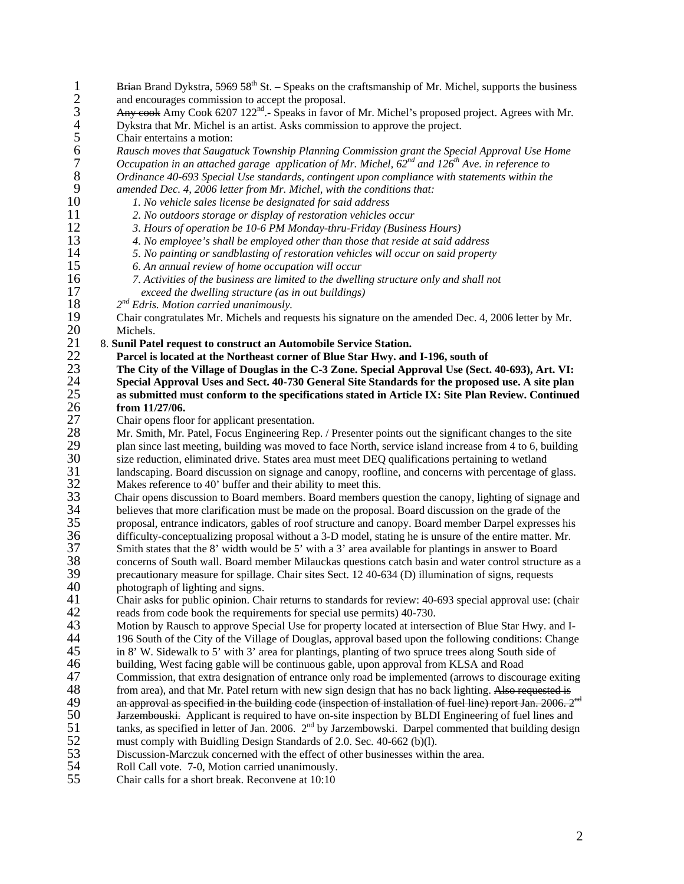- 1 2 Brian Brand Dykstra, 5969  $58<sup>th</sup>$  St. – Speaks on the craftsmanship of Mr. Michel, supports the business and encourages commission to accept the proposal. 3 4 5 6 7 8 9 10 11 12 13 14 15 16 17 18 19 20 21 22 23 24 25 26 27 28 29 30 31 32 33 34 35 36  $\overline{37}$ 38 39 40 41 42  $4\overline{3}$ 44 45 46 47<br>48 Any cook Amy Cook 6207 122<sup>nd</sup>.- Speaks in favor of Mr. Michel's proposed project. Agrees with Mr. Dykstra that Mr. Michel is an artist. Asks commission to approve the project. Chair entertains a motion: *Rausch moves that Saugatuck Township Planning Commission grant the Special Approval Use Home Occupation in an attached garage application of Mr. Michel, 62nd and 126th Ave. in reference to Ordinance 40-693 Special Use standards, contingent upon compliance with statements within the amended Dec. 4, 2006 letter from Mr. Michel, with the conditions that: 1. No vehicle sales license be designated for said address 2. No outdoors storage or display of restoration vehicles occur 3. Hours of operation be 10-6 PM Monday-thru-Friday (Business Hours) 4. No employee's shall be employed other than those that reside at said address 5. No painting or sandblasting of restoration vehicles will occur on said property 6. An annual review of home occupation will occur 7. Activities of the business are limited to the dwelling structure only and shall not exceed the dwelling structure (as in out buildings) 2nd Edris. Motion carried unanimously.*  Chair congratulates Mr. Michels and requests his signature on the amended Dec. 4, 2006 letter by Mr. Michels. 8. **Sunil Patel request to construct an Automobile Service Station. Parcel is located at the Northeast corner of Blue Star Hwy. and I-196, south of The City of the Village of Douglas in the C-3 Zone. Special Approval Use (Sect. 40-693), Art. VI: Special Approval Uses and Sect. 40-730 General Site Standards for the proposed use. A site plan as submitted must conform to the specifications stated in Article IX: Site Plan Review. Continued from 11/27/06.**  Chair opens floor for applicant presentation. Mr. Smith, Mr. Patel, Focus Engineering Rep. / Presenter points out the significant changes to the site plan since last meeting, building was moved to face North, service island increase from 4 to 6, building size reduction, eliminated drive. States area must meet DEQ qualifications pertaining to wetland landscaping. Board discussion on signage and canopy, roofline, and concerns with percentage of glass. Makes reference to 40' buffer and their ability to meet this. Chair opens discussion to Board members. Board members question the canopy, lighting of signage and believes that more clarification must be made on the proposal. Board discussion on the grade of the proposal, entrance indicators, gables of roof structure and canopy. Board member Darpel expresses his difficulty-conceptualizing proposal without a 3-D model, stating he is unsure of the entire matter. Mr. Smith states that the 8' width would be 5' with a 3' area available for plantings in answer to Board concerns of South wall. Board member Milauckas questions catch basin and water control structure as a precautionary measure for spillage. Chair sites Sect. 12 40-634 (D) illumination of signs, requests photograph of lighting and signs. Chair asks for public opinion. Chair returns to standards for review: 40-693 special approval use: (chair reads from code book the requirements for special use permits) 40-730. Motion by Rausch to approve Special Use for property located at intersection of Blue Star Hwy. and I-196 South of the City of the Village of Douglas, approval based upon the following conditions: Change in 8' W. Sidewalk to 5' with 3' area for plantings, planting of two spruce trees along South side of building, West facing gable will be continuous gable, upon approval from KLSA and Road Commission, that extra designation of entrance only road be implemented (arrows to discourage exiting from area), and that Mr. Patel return with new sign design that has no back lighting. Also requested is an approval as specified in the building code (inspection of installation of fuel line) report Jan. 2006. 2<sup>nd</sup> Jarzembouski. Applicant is required to have on-site inspection by BLDI Engineering of fuel lines and 49 tanks, as specified in letter of Jan. 2006.  $2<sup>nd</sup>$  by Jarzembowski. Darpel commented that building design 50 51 52 53 54 must comply with Buidling Design Standards of 2.0. Sec. 40-662 (b)(l). Discussion-Marczuk concerned with the effect of other businesses within the area. Roll Call vote. 7-0, Motion carried unanimously.
- 55 Chair calls for a short break. Reconvene at 10:10